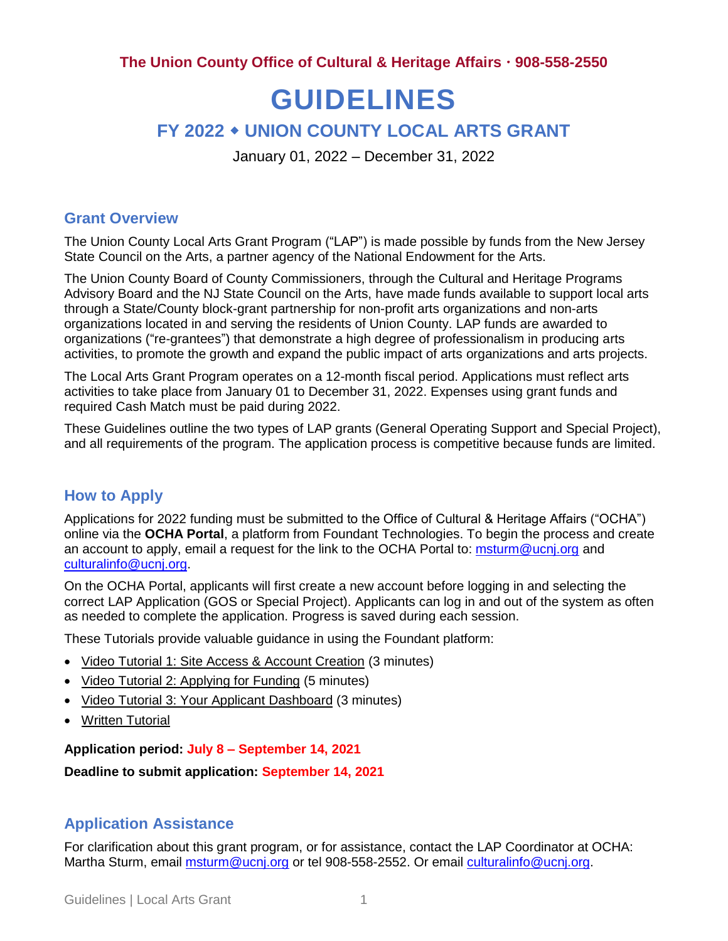**The Union County Office of Cultural & Heritage Affairs 908-558-2550**

# **GUIDELINES**

## **FY 2022 UNION COUNTY LOCAL ARTS GRANT**

January 01, 2022 – December 31, 2022

#### **Grant Overview**

The Union County Local Arts Grant Program ("LAP") is made possible by funds from the New Jersey State Council on the Arts, a partner agency of the National Endowment for the Arts.

The Union County Board of County Commissioners, through the Cultural and Heritage Programs Advisory Board and the NJ State Council on the Arts, have made funds available to support local arts through a State/County block-grant partnership for non-profit arts organizations and non-arts organizations located in and serving the residents of Union County. LAP funds are awarded to organizations ("re-grantees") that demonstrate a high degree of professionalism in producing arts activities, to promote the growth and expand the public impact of arts organizations and arts projects.

The Local Arts Grant Program operates on a 12-month fiscal period. Applications must reflect arts activities to take place from January 01 to December 31, 2022. Expenses using grant funds and required Cash Match must be paid during 2022.

These Guidelines outline the two types of LAP grants (General Operating Support and Special Project), and all requirements of the program. The application process is competitive because funds are limited.

## **How to Apply**

Applications for 2022 funding must be submitted to the Office of Cultural & Heritage Affairs ("OCHA") online via the **OCHA Portal**, a platform from Foundant Technologies. To begin the process and create an account to apply, email a request for the link to the OCHA Portal to: [msturm@ucnj.org](mailto:msturm@ucnj.org) and [culturalinfo@ucnj.org.](mailto:culturalinfo@ucnj.org)

On the OCHA Portal, applicants will first create a new account before logging in and selecting the correct LAP Application (GOS or Special Project). Applicants can log in and out of the system as often as needed to complete the application. Progress is saved during each session.

These Tutorials provide valuable guidance in using the Foundant platform:

- [Video Tutorial 1: Site Access & Account Creation](https://linkprotect.cudasvc.com/url?a=https%3a%2f%2fdrive.google.com%2ffile%2fd%2f1O2-rkkxy9iQ1WLx2LKaBYr9LgFoXfaqt%2fview%3fusp%3dsharing&c=E,1,46tj50wewpmToWiDxn7JHf1hLesLjt1DtYuOSWxs_4n4_kKu05Tl00kv6ES16kX2UD1bMIsJwU8oO1Kb77aIENa6obJVltMDNUQWlOnpilDg2k6cQAwi5lLTnudf&typo=1) (3 minutes)
- [Video Tutorial 2: Applying for Funding](https://linkprotect.cudasvc.com/url?a=https%3a%2f%2fdrive.google.com%2ffile%2fd%2f1cmTa7Hmacg4pqJpn5Xo92vp3RzRxfoeS%2fview%3fusp%3dsharing&c=E,1,YvTU5-MtR8DfRJSumuPpsbTA6FQCTHyKeHL455Mg4tuLgT00n7wnG-gOEnfAMhkB-s5X4WHR0GZW1B1Y2skZ4hhi_UX7Krg_6gkOJJ3I7jnV4fbT2xVeb4N3kVw,&typo=1) (5 minutes)
- [Video Tutorial 3: Your Applicant Dashboard](https://linkprotect.cudasvc.com/url?a=https%3a%2f%2fdrive.google.com%2ffile%2fd%2f155ta4kdwfWbiSnftjux_PGJHfMkse5Bz%2fview%3fusp%3dsharing&c=E,1,y7HWxcwZ7tt6VEHdm9AfPz0OT-r3CKrp3h56Sd2Jfo9bjCdorJKauyNPeX5BNof3fGTSFmBn6Za1rZbM0IgCv0rbQ37UCiRBgcarQnwlPHeHL5w4lmNv_A,,&typo=1) (3 minutes)
- [Written Tutorial](https://docs.google.com/document/d/1HyVKOrd9FiHscI3tsupIHKpwzcrMRqwWF43t4zXK9NY/edit)

**Application period: July 8 – September 14, 2021**

**Deadline to submit application: September 14, 2021**

## **Application Assistance**

For clarification about this grant program, or for assistance, contact the LAP Coordinator at OCHA: Martha Sturm, email [msturm@ucnj.org](mailto:msturm@ucnj.org) or tel 908-558-2552. Or email [culturalinfo@ucnj.org.](mailto:culturalinfo@ucnj.org)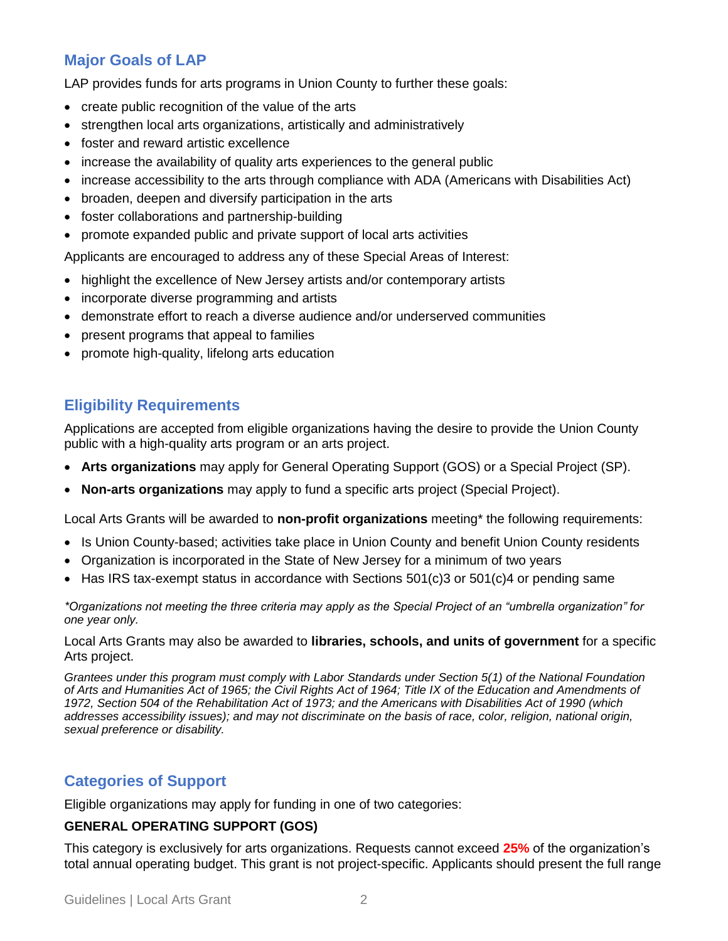## **Major Goals of LAP**

LAP provides funds for arts programs in Union County to further these goals:

- create public recognition of the value of the arts
- strengthen local arts organizations, artistically and administratively
- foster and reward artistic excellence
- increase the availability of quality arts experiences to the general public
- increase accessibility to the arts through compliance with ADA (Americans with Disabilities Act)
- broaden, deepen and diversify participation in the arts
- foster collaborations and partnership-building
- promote expanded public and private support of local arts activities

Applicants are encouraged to address any of these Special Areas of Interest:

- highlight the excellence of New Jersey artists and/or contemporary artists
- incorporate diverse programming and artists
- demonstrate effort to reach a diverse audience and/or underserved communities
- present programs that appeal to families
- promote high-quality, lifelong arts education

## **Eligibility Requirements**

Applications are accepted from eligible organizations having the desire to provide the Union County public with a high-quality arts program or an arts project.

- **Arts organizations** may apply for General Operating Support (GOS) or a Special Project (SP).
- **Non-arts organizations** may apply to fund a specific arts project (Special Project).

Local Arts Grants will be awarded to **non-profit organizations** meeting\* the following requirements:

- Is Union County-based; activities take place in Union County and benefit Union County residents
- Organization is incorporated in the State of New Jersey for a minimum of two years
- Has IRS tax-exempt status in accordance with Sections  $501(c)3$  or  $501(c)4$  or pending same

*\*Organizations not meeting the three criteria may apply as the Special Project of an "umbrella organization" for one year only.*

Local Arts Grants may also be awarded to **libraries, schools, and units of government** for a specific Arts project.

*Grantees under this program must comply with Labor Standards under Section 5(1) of the National Foundation of Arts and Humanities Act of 1965; the Civil Rights Act of 1964; Title IX of the Education and Amendments of 1972, Section 504 of the Rehabilitation Act of 1973; and the Americans with Disabilities Act of 1990 (which addresses accessibility issues); and may not discriminate on the basis of race, color, religion, national origin, sexual preference or disability.* 

## **Categories of Support**

Eligible organizations may apply for funding in one of two categories:

#### **GENERAL OPERATING SUPPORT (GOS)**

This category is exclusively for arts organizations. Requests cannot exceed **25%** of the organization's total annual operating budget. This grant is not project-specific. Applicants should present the full range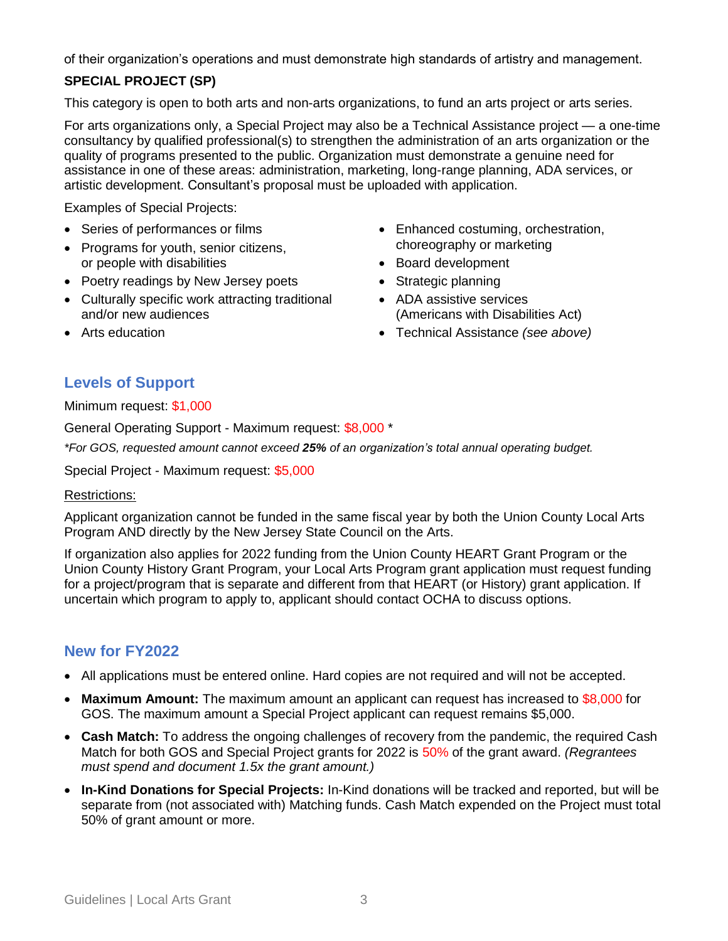of their organization's operations and must demonstrate high standards of artistry and management.

## **SPECIAL PROJECT (SP)**

This category is open to both arts and non-arts organizations, to fund an arts project or arts series.

For arts organizations only, a Special Project may also be a Technical Assistance project — a one-time consultancy by qualified professional(s) to strengthen the administration of an arts organization or the quality of programs presented to the public. Organization must demonstrate a genuine need for assistance in one of these areas: administration, marketing, long-range planning, ADA services, or artistic development. Consultant's proposal must be uploaded with application.

Examples of Special Projects:

- Series of performances or films
- Programs for youth, senior citizens, or people with disabilities
- Poetry readings by New Jersey poets
- Culturally specific work attracting traditional and/or new audiences
- Enhanced costuming, orchestration, choreography or marketing
- Board development
- Strategic planning
- ADA assistive services (Americans with Disabilities Act)
- Technical Assistance *(see above)*

## Arts education

## **Levels of Support**

Minimum request: \$1,000

General Operating Support - Maximum request: \$8,000 \*

*\*For GOS, requested amount cannot exceed 25% of an organization's total annual operating budget.*

Special Project - Maximum request: \$5,000

#### Restrictions:

Applicant organization cannot be funded in the same fiscal year by both the Union County Local Arts Program AND directly by the New Jersey State Council on the Arts.

If organization also applies for 2022 funding from the Union County HEART Grant Program or the Union County History Grant Program, your Local Arts Program grant application must request funding for a project/program that is separate and different from that HEART (or History) grant application. If uncertain which program to apply to, applicant should contact OCHA to discuss options.

## **New for FY2022**

- All applications must be entered online. Hard copies are not required and will not be accepted.
- **Maximum Amount:** The maximum amount an applicant can request has increased to \$8,000 for GOS. The maximum amount a Special Project applicant can request remains \$5,000.
- **Cash Match:** To address the ongoing challenges of recovery from the pandemic, the required Cash Match for both GOS and Special Project grants for 2022 is 50% of the grant award. *(Regrantees must spend and document 1.5x the grant amount.)*
- **In-Kind Donations for Special Projects:** In-Kind donations will be tracked and reported, but will be separate from (not associated with) Matching funds. Cash Match expended on the Project must total 50% of grant amount or more.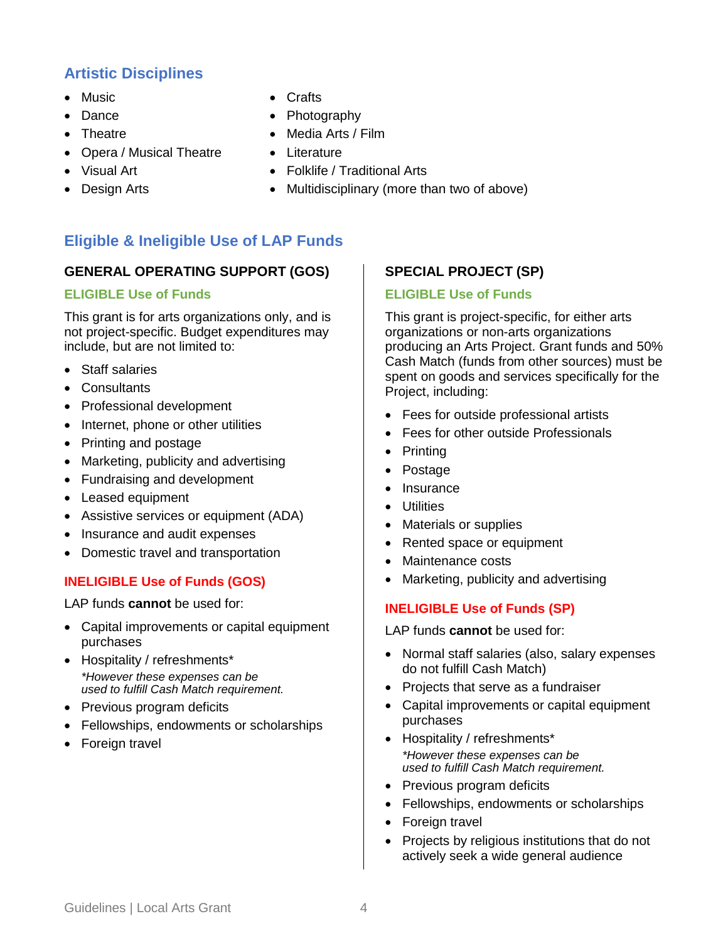## **Artistic Disciplines**

- Music
- Dance
- Theatre
- Opera / Musical Theatre
- Visual Art
- Design Arts
- Crafts
- Photography
- Media Arts / Film
- Literature
- Folklife / Traditional Arts
- Multidisciplinary (more than two of above)

## **Eligible & Ineligible Use of LAP Funds**

#### **GENERAL OPERATING SUPPORT (GOS)**

#### **ELIGIBLE Use of Funds**

This grant is for arts organizations only, and is not project-specific. Budget expenditures may include, but are not limited to:

- Staff salaries
- Consultants
- Professional development
- Internet, phone or other utilities
- Printing and postage
- Marketing, publicity and advertising
- Fundraising and development
- Leased equipment
- Assistive services or equipment (ADA)
- Insurance and audit expenses
- Domestic travel and transportation

## **INELIGIBLE Use of Funds (GOS)**

LAP funds **cannot** be used for:

- Capital improvements or capital equipment purchases
- Hospitality / refreshments\* *\*However these expenses can be used to fulfill Cash Match requirement.*
- Previous program deficits
- Fellowships, endowments or scholarships
- Foreign travel

## **SPECIAL PROJECT (SP)**

#### **ELIGIBLE Use of Funds**

This grant is project-specific, for either arts organizations or non-arts organizations producing an Arts Project. Grant funds and 50% Cash Match (funds from other sources) must be spent on goods and services specifically for the Project, including:

- Fees for outside professional artists
- Fees for other outside Professionals
- Printing
- Postage
- Insurance
- **•** Utilities
- Materials or supplies
- Rented space or equipment
- Maintenance costs
- Marketing, publicity and advertising

#### **INELIGIBLE Use of Funds (SP)**

LAP funds **cannot** be used for:

- Normal staff salaries (also, salary expenses do not fulfill Cash Match)
- Projects that serve as a fundraiser
- Capital improvements or capital equipment purchases
- Hospitality / refreshments\* *\*However these expenses can be used to fulfill Cash Match requirement.*
- Previous program deficits
- Fellowships, endowments or scholarships
- Foreign travel
- Projects by religious institutions that do not actively seek a wide general audience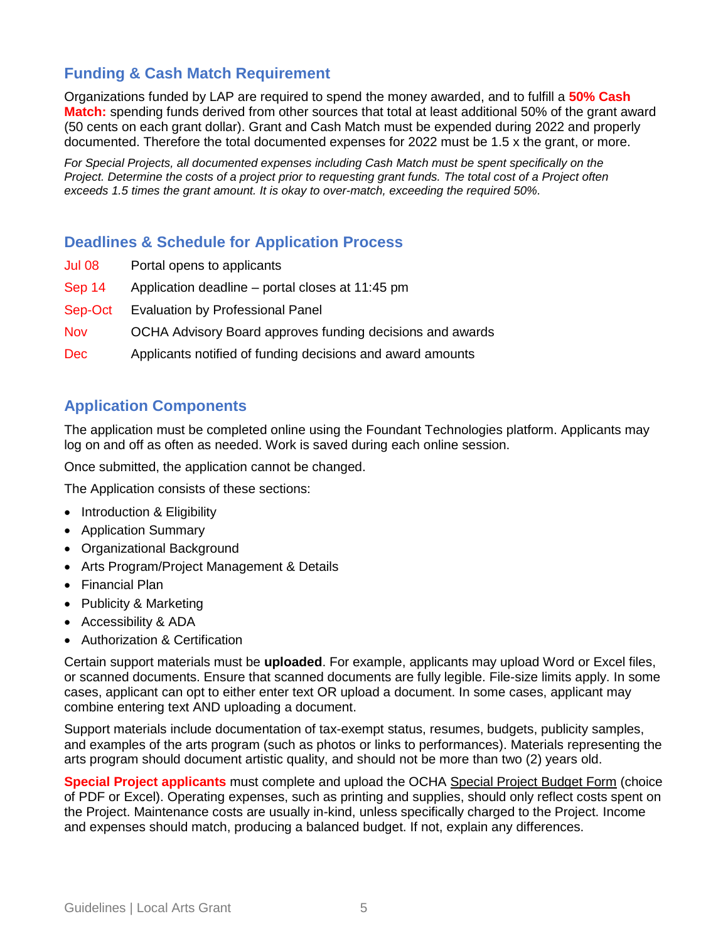## **Funding & Cash Match Requirement**

Organizations funded by LAP are required to spend the money awarded, and to fulfill a **50% Cash Match:** spending funds derived from other sources that total at least additional 50% of the grant award (50 cents on each grant dollar). Grant and Cash Match must be expended during 2022 and properly documented. Therefore the total documented expenses for 2022 must be 1.5 x the grant, or more.

*For Special Projects, all documented expenses including Cash Match must be spent specifically on the Project. Determine the costs of a project prior to requesting grant funds. The total cost of a Project often exceeds 1.5 times the grant amount. It is okay to over-match, exceeding the required 50%.* 

## **Deadlines & Schedule for Application Process**

- Jul 08 Portal opens to applicants
- Sep 14 Application deadline portal closes at 11:45 pm
- Sep-Oct Evaluation by Professional Panel
- Nov OCHA Advisory Board approves funding decisions and awards
- Dec Applicants notified of funding decisions and award amounts

## **Application Components**

The application must be completed online using the Foundant Technologies platform. Applicants may log on and off as often as needed. Work is saved during each online session.

Once submitted, the application cannot be changed.

The Application consists of these sections:

- Introduction & Eligibility
- Application Summary
- Organizational Background
- Arts Program/Project Management & Details
- Financial Plan
- Publicity & Marketing
- Accessibility & ADA
- Authorization & Certification

Certain support materials must be **uploaded**. For example, applicants may upload Word or Excel files, or scanned documents. Ensure that scanned documents are fully legible. File-size limits apply. In some cases, applicant can opt to either enter text OR upload a document. In some cases, applicant may combine entering text AND uploading a document.

Support materials include documentation of tax-exempt status, resumes, budgets, publicity samples, and examples of the arts program (such as photos or links to performances). Materials representing the arts program should document artistic quality, and should not be more than two (2) years old.

**Special Project applicants** must complete and upload the OCHA Special Project Budget Form (choice of PDF or Excel). Operating expenses, such as printing and supplies, should only reflect costs spent on the Project. Maintenance costs are usually in-kind, unless specifically charged to the Project. Income and expenses should match, producing a balanced budget. If not, explain any differences.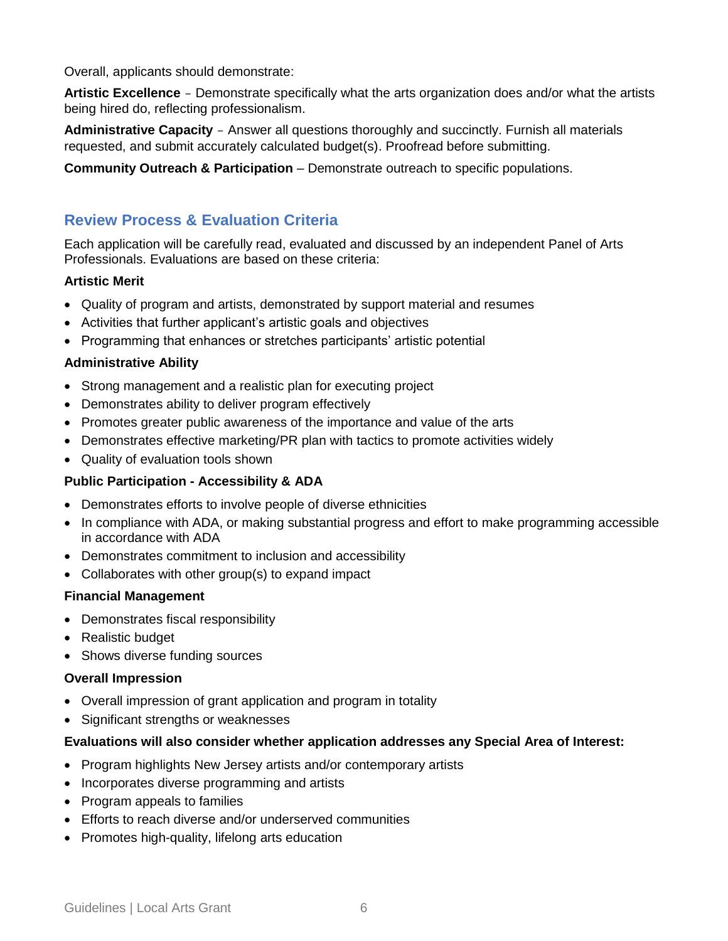Overall, applicants should demonstrate:

**Artistic Excellence** – Demonstrate specifically what the arts organization does and/or what the artists being hired do, reflecting professionalism.

**Administrative Capacity** – Answer all questions thoroughly and succinctly. Furnish all materials requested, and submit accurately calculated budget(s). Proofread before submitting.

**Community Outreach & Participation** – Demonstrate outreach to specific populations.

## **Review Process & Evaluation Criteria**

Each application will be carefully read, evaluated and discussed by an independent Panel of Arts Professionals. Evaluations are based on these criteria:

#### **Artistic Merit**

- Quality of program and artists, demonstrated by support material and resumes
- Activities that further applicant's artistic goals and objectives
- Programming that enhances or stretches participants' artistic potential

#### **Administrative Ability**

- Strong management and a realistic plan for executing project
- Demonstrates ability to deliver program effectively
- Promotes greater public awareness of the importance and value of the arts
- Demonstrates effective marketing/PR plan with tactics to promote activities widely
- Quality of evaluation tools shown

#### **Public Participation - Accessibility & ADA**

- Demonstrates efforts to involve people of diverse ethnicities
- In compliance with ADA, or making substantial progress and effort to make programming accessible in accordance with ADA
- Demonstrates commitment to inclusion and accessibility
- Collaborates with other group(s) to expand impact

#### **Financial Management**

- Demonstrates fiscal responsibility
- Realistic budget
- Shows diverse funding sources

#### **Overall Impression**

- Overall impression of grant application and program in totality
- Significant strengths or weaknesses

#### **Evaluations will also consider whether application addresses any Special Area of Interest:**

- Program highlights New Jersey artists and/or contemporary artists
- Incorporates diverse programming and artists
- Program appeals to families
- Efforts to reach diverse and/or underserved communities
- Promotes high-quality, lifelong arts education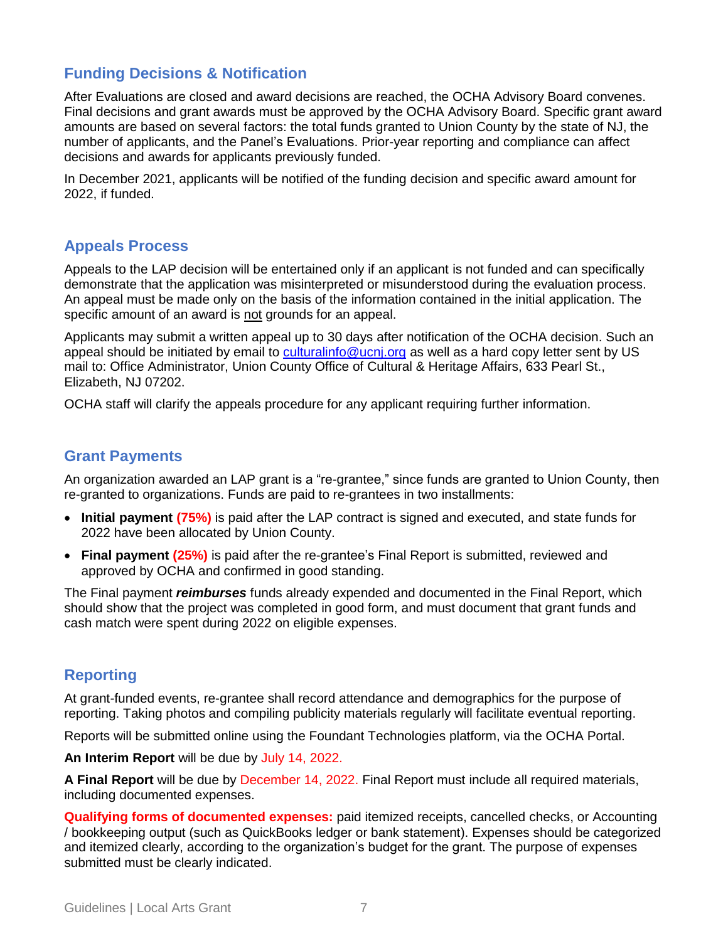## **Funding Decisions & Notification**

After Evaluations are closed and award decisions are reached, the OCHA Advisory Board convenes. Final decisions and grant awards must be approved by the OCHA Advisory Board. Specific grant award amounts are based on several factors: the total funds granted to Union County by the state of NJ, the number of applicants, and the Panel's Evaluations. Prior-year reporting and compliance can affect decisions and awards for applicants previously funded.

In December 2021, applicants will be notified of the funding decision and specific award amount for 2022, if funded.

#### **Appeals Process**

Appeals to the LAP decision will be entertained only if an applicant is not funded and can specifically demonstrate that the application was misinterpreted or misunderstood during the evaluation process. An appeal must be made only on the basis of the information contained in the initial application. The specific amount of an award is not grounds for an appeal.

Applicants may submit a written appeal up to 30 days after notification of the OCHA decision. Such an appeal should be initiated by email to [culturalinfo@ucnj.org](mailto:culturalinfo@ucnj.org) as well as a hard copy letter sent by US mail to: Office Administrator, Union County Office of Cultural & Heritage Affairs, 633 Pearl St., Elizabeth, NJ 07202.

OCHA staff will clarify the appeals procedure for any applicant requiring further information.

#### **Grant Payments**

An organization awarded an LAP grant is a "re-grantee," since funds are granted to Union County, then re-granted to organizations. Funds are paid to re-grantees in two installments:

- **Initial payment (75%)** is paid after the LAP contract is signed and executed, and state funds for 2022 have been allocated by Union County.
- **Final payment (25%)** is paid after the re-grantee's Final Report is submitted, reviewed and approved by OCHA and confirmed in good standing.

The Final payment *reimburses* funds already expended and documented in the Final Report, which should show that the project was completed in good form, and must document that grant funds and cash match were spent during 2022 on eligible expenses.

## **Reporting**

At grant-funded events, re-grantee shall record attendance and demographics for the purpose of reporting. Taking photos and compiling publicity materials regularly will facilitate eventual reporting.

Reports will be submitted online using the Foundant Technologies platform, via the OCHA Portal.

**An Interim Report** will be due by July 14, 2022.

**A Final Report** will be due by December 14, 2022. Final Report must include all required materials, including documented expenses.

**Qualifying forms of documented expenses:** paid itemized receipts, cancelled checks, or Accounting / bookkeeping output (such as QuickBooks ledger or bank statement). Expenses should be categorized and itemized clearly, according to the organization's budget for the grant. The purpose of expenses submitted must be clearly indicated.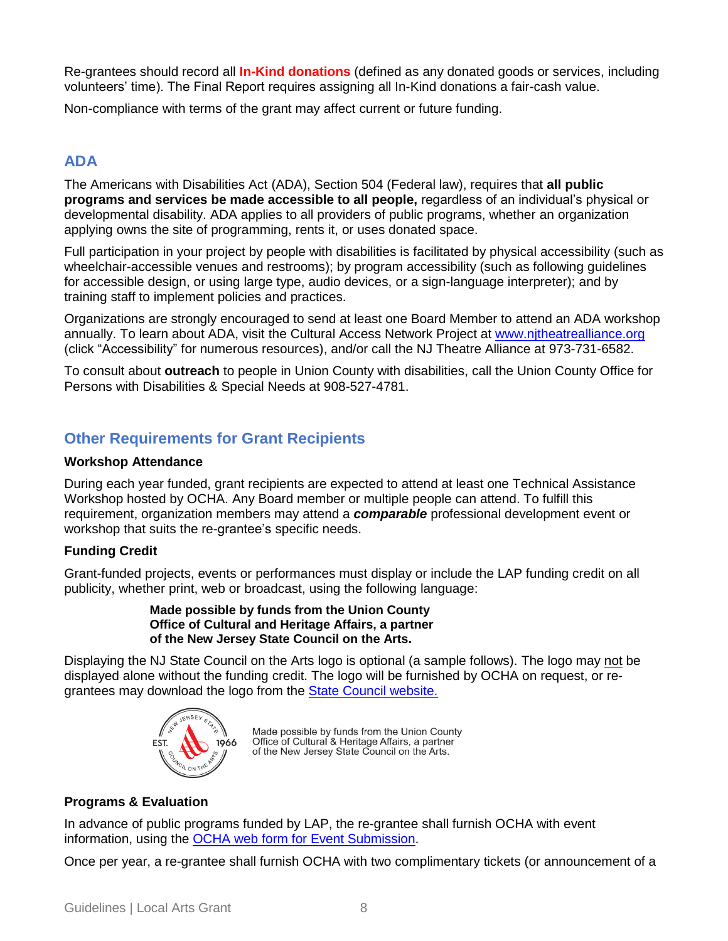Re-grantees should record all **In-Kind donations** (defined as any donated goods or services, including volunteers' time). The Final Report requires assigning all In-Kind donations a fair-cash value.

Non-compliance with terms of the grant may affect current or future funding.

## **ADA**

The Americans with Disabilities Act (ADA), Section 504 (Federal law), requires that **all public programs and services be made accessible to all people,** regardless of an individual's physical or developmental disability. ADA applies to all providers of public programs, whether an organization applying owns the site of programming, rents it, or uses donated space.

Full participation in your project by people with disabilities is facilitated by physical accessibility (such as wheelchair-accessible venues and restrooms); by program accessibility (such as following guidelines for accessible design, or using large type, audio devices, or a sign-language interpreter); and by training staff to implement policies and practices.

Organizations are strongly encouraged to send at least one Board Member to attend an ADA workshop annually. To learn about ADA, visit the Cultural Access Network Project at [www.njtheatrealliance.org](http://www.njtheatrealliance.org/) (click "Accessibility" for numerous resources), and/or call the NJ Theatre Alliance at 973-731-6582.

To consult about **outreach** to people in Union County with disabilities, call the Union County Office for Persons with Disabilities & Special Needs at 908-527-4781.

## **Other Requirements for Grant Recipients**

#### **Workshop Attendance**

During each year funded, grant recipients are expected to attend at least one Technical Assistance Workshop hosted by OCHA. Any Board member or multiple people can attend. To fulfill this requirement, organization members may attend a *comparable* professional development event or workshop that suits the re-grantee's specific needs.

#### **Funding Credit**

Grant-funded projects, events or performances must display or include the LAP funding credit on all publicity, whether print, web or broadcast, using the following language:

#### **Made possible by funds from the Union County Office of Cultural and Heritage Affairs, a partner of the New Jersey State Council on the Arts.**

Displaying the NJ State Council on the Arts logo is optional (a sample follows). The logo may not be displayed alone without the funding credit. The logo will be furnished by OCHA on request, or regrantees may download the logo from the [State Council website.](https://www.nj.gov/state/njsca/dos_njsca_grants-manage.html#graphics)



Made possible by funds from the Union County<br>Office of Cultural & Heritage Affairs, a partner of the New Jersey State Council on the Arts.

#### **Programs & Evaluation**

In advance of public programs funded by LAP, the re-grantee shall furnish OCHA with event information, using the OCHA web form [for Event Submission.](https://ucnj.org/parks-recreation/cultural-heritage-affairs/cultural-events-calendar-submission-form/)

Once per year, a re-grantee shall furnish OCHA with two complimentary tickets (or announcement of a